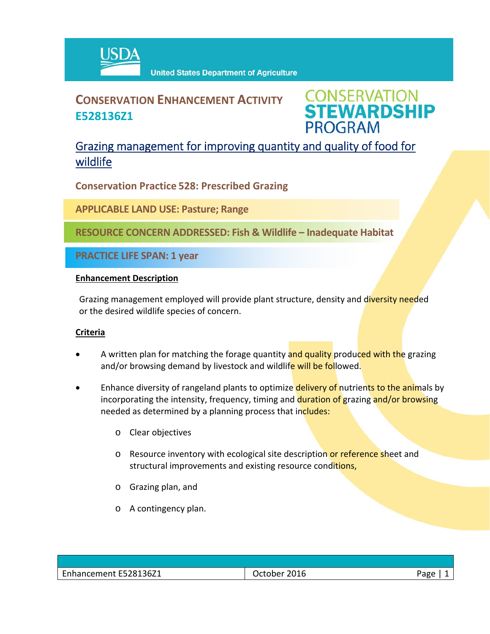

# **CONSERVATION ENHANCEMENT ACTIVITY E528136Z1**

**CONSERVATION<br>STEWARDSHIP PROGRAM** 

## Grazing management for improving quantity and quality of food for wildlife

**Conservation Practice 528: Prescribed Grazing**

**APPLICABLE LAND USE: Pasture; Range**

**RESOURCE CONCERN ADDRESSED: Fish & Wildlife – Inadequate Habitat**

**PRACTICE LIFE SPAN: 1 year**

#### **Enhancement Description**

Grazing management employed will provide plant structure, density and diversity needed or the desired wildlife species of concern.

### **Criteria**

- A written plan for matching the forage quantity and quality produced with the grazing and/or browsing demand by livestock and wildlife will be followed.
- Enhance diversity of rangeland plants to optimize delivery of nutrients to the animals by incorporating the intensity, frequency, timing and duration of grazing and/or browsing needed as determined by a planning process that includes:
	- o Clear objectives
	- o Resource inventory with ecological site description or reference sheet and structural improvements and existing resource conditions,
	- o Grazing plan, and
	- o A contingency plan.

| E528136Z1<br>ما مر<br>۱۱ در در ۱۲ در | 2016<br>$  -$<br>נותר<br>____ | $\sim$<br>-196<br>ם |
|--------------------------------------|-------------------------------|---------------------|